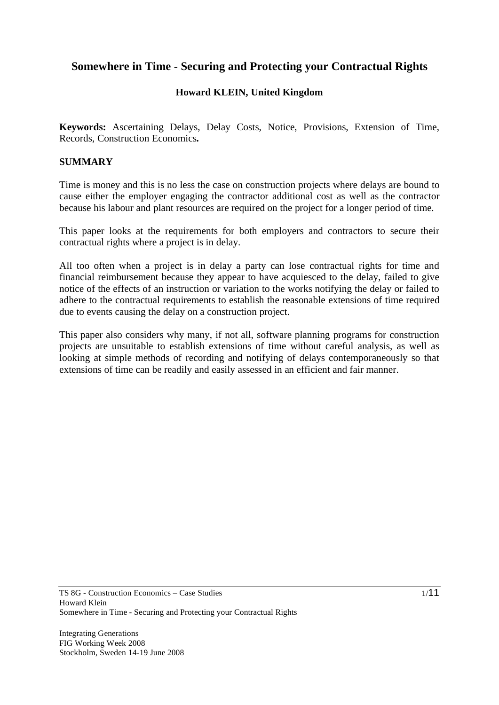# **Somewhere in Time - Securing and Protecting your Contractual Rights**

## **Howard KLEIN, United Kingdom**

**Keywords:** Ascertaining Delays, Delay Costs, Notice, Provisions, Extension of Time, Records, Construction Economics**.** 

#### **SUMMARY**

Time is money and this is no less the case on construction projects where delays are bound to cause either the employer engaging the contractor additional cost as well as the contractor because his labour and plant resources are required on the project for a longer period of time.

This paper looks at the requirements for both employers and contractors to secure their contractual rights where a project is in delay.

All too often when a project is in delay a party can lose contractual rights for time and financial reimbursement because they appear to have acquiesced to the delay, failed to give notice of the effects of an instruction or variation to the works notifying the delay or failed to adhere to the contractual requirements to establish the reasonable extensions of time required due to events causing the delay on a construction project.

This paper also considers why many, if not all, software planning programs for construction projects are unsuitable to establish extensions of time without careful analysis, as well as looking at simple methods of recording and notifying of delays contemporaneously so that extensions of time can be readily and easily assessed in an efficient and fair manner.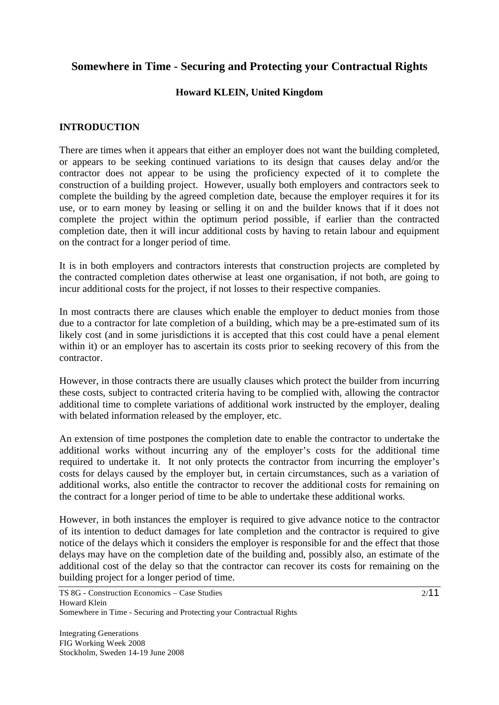## **Somewhere in Time - Securing and Protecting your Contractual Rights**

#### **Howard KLEIN, United Kingdom**

#### **INTRODUCTION**

There are times when it appears that either an employer does not want the building completed, or appears to be seeking continued variations to its design that causes delay and/or the contractor does not appear to be using the proficiency expected of it to complete the construction of a building project. However, usually both employers and contractors seek to complete the building by the agreed completion date, because the employer requires it for its use, or to earn money by leasing or selling it on and the builder knows that if it does not complete the project within the optimum period possible, if earlier than the contracted completion date, then it will incur additional costs by having to retain labour and equipment on the contract for a longer period of time.

It is in both employers and contractors interests that construction projects are completed by the contracted completion dates otherwise at least one organisation, if not both, are going to incur additional costs for the project, if not losses to their respective companies.

In most contracts there are clauses which enable the employer to deduct monies from those due to a contractor for late completion of a building, which may be a pre-estimated sum of its likely cost (and in some jurisdictions it is accepted that this cost could have a penal element within it) or an employer has to ascertain its costs prior to seeking recovery of this from the contractor.

However, in those contracts there are usually clauses which protect the builder from incurring these costs, subject to contracted criteria having to be complied with, allowing the contractor additional time to complete variations of additional work instructed by the employer, dealing with belated information released by the employer, etc.

An extension of time postpones the completion date to enable the contractor to undertake the additional works without incurring any of the employer's costs for the additional time required to undertake it. It not only protects the contractor from incurring the employer's costs for delays caused by the employer but, in certain circumstances, such as a variation of additional works, also entitle the contractor to recover the additional costs for remaining on the contract for a longer period of time to be able to undertake these additional works.

However, in both instances the employer is required to give advance notice to the contractor of its intention to deduct damages for late completion and the contractor is required to give notice of the delays which it considers the employer is responsible for and the effect that those delays may have on the completion date of the building and, possibly also, an estimate of the additional cost of the delay so that the contractor can recover its costs for remaining on the building project for a longer period of time.

TS 8G - Construction Economics – Case Studies Howard Klein Somewhere in Time - Securing and Protecting your Contractual Rights

Integrating Generations FIG Working Week 2008 Stockholm, Sweden 14-19 June 2008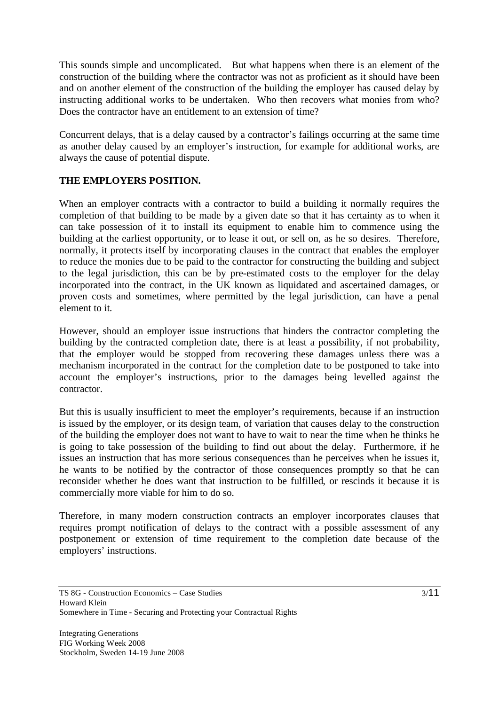This sounds simple and uncomplicated. But what happens when there is an element of the construction of the building where the contractor was not as proficient as it should have been and on another element of the construction of the building the employer has caused delay by instructing additional works to be undertaken. Who then recovers what monies from who? Does the contractor have an entitlement to an extension of time?

Concurrent delays, that is a delay caused by a contractor's failings occurring at the same time as another delay caused by an employer's instruction, for example for additional works, are always the cause of potential dispute.

## **THE EMPLOYERS POSITION.**

When an employer contracts with a contractor to build a building it normally requires the completion of that building to be made by a given date so that it has certainty as to when it can take possession of it to install its equipment to enable him to commence using the building at the earliest opportunity, or to lease it out, or sell on, as he so desires. Therefore, normally, it protects itself by incorporating clauses in the contract that enables the employer to reduce the monies due to be paid to the contractor for constructing the building and subject to the legal jurisdiction, this can be by pre-estimated costs to the employer for the delay incorporated into the contract, in the UK known as liquidated and ascertained damages, or proven costs and sometimes, where permitted by the legal jurisdiction, can have a penal element to it.

However, should an employer issue instructions that hinders the contractor completing the building by the contracted completion date, there is at least a possibility, if not probability, that the employer would be stopped from recovering these damages unless there was a mechanism incorporated in the contract for the completion date to be postponed to take into account the employer's instructions, prior to the damages being levelled against the contractor.

But this is usually insufficient to meet the employer's requirements, because if an instruction is issued by the employer, or its design team, of variation that causes delay to the construction of the building the employer does not want to have to wait to near the time when he thinks he is going to take possession of the building to find out about the delay. Furthermore, if he issues an instruction that has more serious consequences than he perceives when he issues it, he wants to be notified by the contractor of those consequences promptly so that he can reconsider whether he does want that instruction to be fulfilled, or rescinds it because it is commercially more viable for him to do so.

Therefore, in many modern construction contracts an employer incorporates clauses that requires prompt notification of delays to the contract with a possible assessment of any postponement or extension of time requirement to the completion date because of the employers' instructions.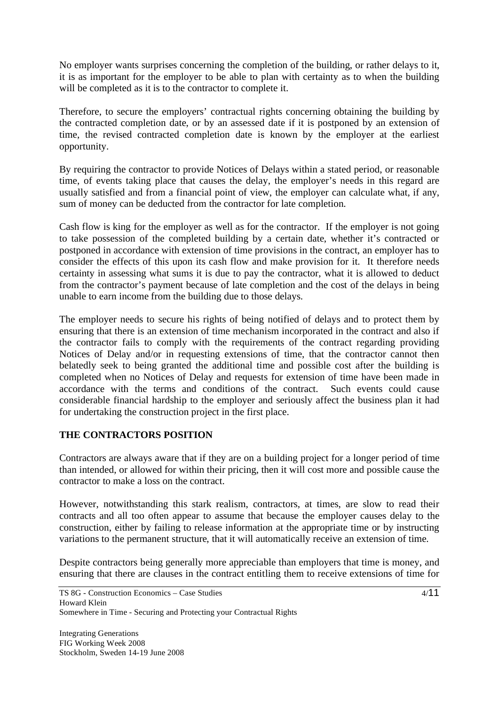No employer wants surprises concerning the completion of the building, or rather delays to it, it is as important for the employer to be able to plan with certainty as to when the building will be completed as it is to the contractor to complete it.

Therefore, to secure the employers' contractual rights concerning obtaining the building by the contracted completion date, or by an assessed date if it is postponed by an extension of time, the revised contracted completion date is known by the employer at the earliest opportunity.

By requiring the contractor to provide Notices of Delays within a stated period, or reasonable time, of events taking place that causes the delay, the employer's needs in this regard are usually satisfied and from a financial point of view, the employer can calculate what, if any, sum of money can be deducted from the contractor for late completion.

Cash flow is king for the employer as well as for the contractor. If the employer is not going to take possession of the completed building by a certain date, whether it's contracted or postponed in accordance with extension of time provisions in the contract, an employer has to consider the effects of this upon its cash flow and make provision for it. It therefore needs certainty in assessing what sums it is due to pay the contractor, what it is allowed to deduct from the contractor's payment because of late completion and the cost of the delays in being unable to earn income from the building due to those delays.

The employer needs to secure his rights of being notified of delays and to protect them by ensuring that there is an extension of time mechanism incorporated in the contract and also if the contractor fails to comply with the requirements of the contract regarding providing Notices of Delay and/or in requesting extensions of time, that the contractor cannot then belatedly seek to being granted the additional time and possible cost after the building is completed when no Notices of Delay and requests for extension of time have been made in accordance with the terms and conditions of the contract. Such events could cause considerable financial hardship to the employer and seriously affect the business plan it had for undertaking the construction project in the first place.

#### **THE CONTRACTORS POSITION**

Contractors are always aware that if they are on a building project for a longer period of time than intended, or allowed for within their pricing, then it will cost more and possible cause the contractor to make a loss on the contract.

However, notwithstanding this stark realism, contractors, at times, are slow to read their contracts and all too often appear to assume that because the employer causes delay to the construction, either by failing to release information at the appropriate time or by instructing variations to the permanent structure, that it will automatically receive an extension of time.

Despite contractors being generally more appreciable than employers that time is money, and ensuring that there are clauses in the contract entitling them to receive extensions of time for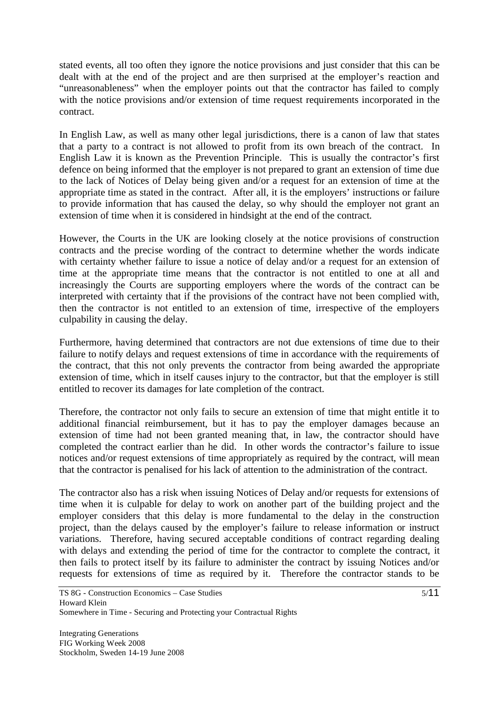stated events, all too often they ignore the notice provisions and just consider that this can be dealt with at the end of the project and are then surprised at the employer's reaction and "unreasonableness" when the employer points out that the contractor has failed to comply with the notice provisions and/or extension of time request requirements incorporated in the contract.

In English Law, as well as many other legal jurisdictions, there is a canon of law that states that a party to a contract is not allowed to profit from its own breach of the contract. In English Law it is known as the Prevention Principle. This is usually the contractor's first defence on being informed that the employer is not prepared to grant an extension of time due to the lack of Notices of Delay being given and/or a request for an extension of time at the appropriate time as stated in the contract. After all, it is the employers' instructions or failure to provide information that has caused the delay, so why should the employer not grant an extension of time when it is considered in hindsight at the end of the contract.

However, the Courts in the UK are looking closely at the notice provisions of construction contracts and the precise wording of the contract to determine whether the words indicate with certainty whether failure to issue a notice of delay and/or a request for an extension of time at the appropriate time means that the contractor is not entitled to one at all and increasingly the Courts are supporting employers where the words of the contract can be interpreted with certainty that if the provisions of the contract have not been complied with, then the contractor is not entitled to an extension of time, irrespective of the employers culpability in causing the delay.

Furthermore, having determined that contractors are not due extensions of time due to their failure to notify delays and request extensions of time in accordance with the requirements of the contract, that this not only prevents the contractor from being awarded the appropriate extension of time, which in itself causes injury to the contractor, but that the employer is still entitled to recover its damages for late completion of the contract.

Therefore, the contractor not only fails to secure an extension of time that might entitle it to additional financial reimbursement, but it has to pay the employer damages because an extension of time had not been granted meaning that, in law, the contractor should have completed the contract earlier than he did. In other words the contractor's failure to issue notices and/or request extensions of time appropriately as required by the contract, will mean that the contractor is penalised for his lack of attention to the administration of the contract.

The contractor also has a risk when issuing Notices of Delay and/or requests for extensions of time when it is culpable for delay to work on another part of the building project and the employer considers that this delay is more fundamental to the delay in the construction project, than the delays caused by the employer's failure to release information or instruct variations. Therefore, having secured acceptable conditions of contract regarding dealing with delays and extending the period of time for the contractor to complete the contract, it then fails to protect itself by its failure to administer the contract by issuing Notices and/or requests for extensions of time as required by it. Therefore the contractor stands to be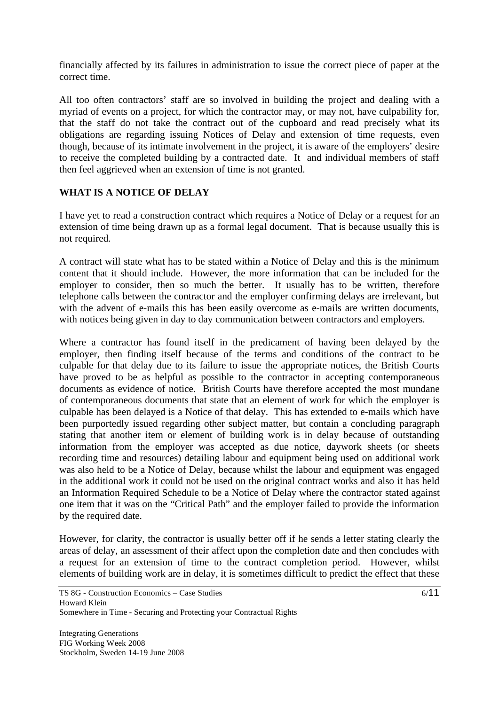financially affected by its failures in administration to issue the correct piece of paper at the correct time.

All too often contractors' staff are so involved in building the project and dealing with a myriad of events on a project, for which the contractor may, or may not, have culpability for, that the staff do not take the contract out of the cupboard and read precisely what its obligations are regarding issuing Notices of Delay and extension of time requests, even though, because of its intimate involvement in the project, it is aware of the employers' desire to receive the completed building by a contracted date. It and individual members of staff then feel aggrieved when an extension of time is not granted.

#### **WHAT IS A NOTICE OF DELAY**

I have yet to read a construction contract which requires a Notice of Delay or a request for an extension of time being drawn up as a formal legal document. That is because usually this is not required.

A contract will state what has to be stated within a Notice of Delay and this is the minimum content that it should include. However, the more information that can be included for the employer to consider, then so much the better. It usually has to be written, therefore telephone calls between the contractor and the employer confirming delays are irrelevant, but with the advent of e-mails this has been easily overcome as e-mails are written documents, with notices being given in day to day communication between contractors and employers.

Where a contractor has found itself in the predicament of having been delayed by the employer, then finding itself because of the terms and conditions of the contract to be culpable for that delay due to its failure to issue the appropriate notices, the British Courts have proved to be as helpful as possible to the contractor in accepting contemporaneous documents as evidence of notice. British Courts have therefore accepted the most mundane of contemporaneous documents that state that an element of work for which the employer is culpable has been delayed is a Notice of that delay. This has extended to e-mails which have been purportedly issued regarding other subject matter, but contain a concluding paragraph stating that another item or element of building work is in delay because of outstanding information from the employer was accepted as due notice, daywork sheets (or sheets recording time and resources) detailing labour and equipment being used on additional work was also held to be a Notice of Delay, because whilst the labour and equipment was engaged in the additional work it could not be used on the original contract works and also it has held an Information Required Schedule to be a Notice of Delay where the contractor stated against one item that it was on the "Critical Path" and the employer failed to provide the information by the required date.

However, for clarity, the contractor is usually better off if he sends a letter stating clearly the areas of delay, an assessment of their affect upon the completion date and then concludes with a request for an extension of time to the contract completion period. However, whilst elements of building work are in delay, it is sometimes difficult to predict the effect that these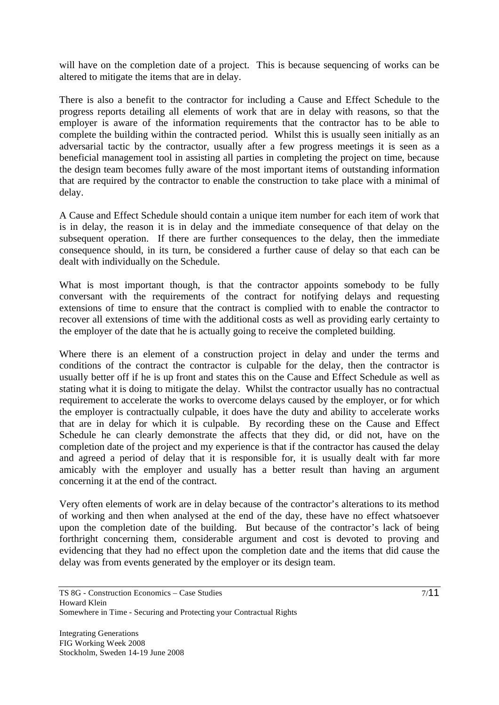will have on the completion date of a project. This is because sequencing of works can be altered to mitigate the items that are in delay.

There is also a benefit to the contractor for including a Cause and Effect Schedule to the progress reports detailing all elements of work that are in delay with reasons, so that the employer is aware of the information requirements that the contractor has to be able to complete the building within the contracted period. Whilst this is usually seen initially as an adversarial tactic by the contractor, usually after a few progress meetings it is seen as a beneficial management tool in assisting all parties in completing the project on time, because the design team becomes fully aware of the most important items of outstanding information that are required by the contractor to enable the construction to take place with a minimal of delay.

A Cause and Effect Schedule should contain a unique item number for each item of work that is in delay, the reason it is in delay and the immediate consequence of that delay on the subsequent operation. If there are further consequences to the delay, then the immediate consequence should, in its turn, be considered a further cause of delay so that each can be dealt with individually on the Schedule.

What is most important though, is that the contractor appoints somebody to be fully conversant with the requirements of the contract for notifying delays and requesting extensions of time to ensure that the contract is complied with to enable the contractor to recover all extensions of time with the additional costs as well as providing early certainty to the employer of the date that he is actually going to receive the completed building.

Where there is an element of a construction project in delay and under the terms and conditions of the contract the contractor is culpable for the delay, then the contractor is usually better off if he is up front and states this on the Cause and Effect Schedule as well as stating what it is doing to mitigate the delay. Whilst the contractor usually has no contractual requirement to accelerate the works to overcome delays caused by the employer, or for which the employer is contractually culpable, it does have the duty and ability to accelerate works that are in delay for which it is culpable. By recording these on the Cause and Effect Schedule he can clearly demonstrate the affects that they did, or did not, have on the completion date of the project and my experience is that if the contractor has caused the delay and agreed a period of delay that it is responsible for, it is usually dealt with far more amicably with the employer and usually has a better result than having an argument concerning it at the end of the contract.

Very often elements of work are in delay because of the contractor's alterations to its method of working and then when analysed at the end of the day, these have no effect whatsoever upon the completion date of the building. But because of the contractor's lack of being forthright concerning them, considerable argument and cost is devoted to proving and evidencing that they had no effect upon the completion date and the items that did cause the delay was from events generated by the employer or its design team.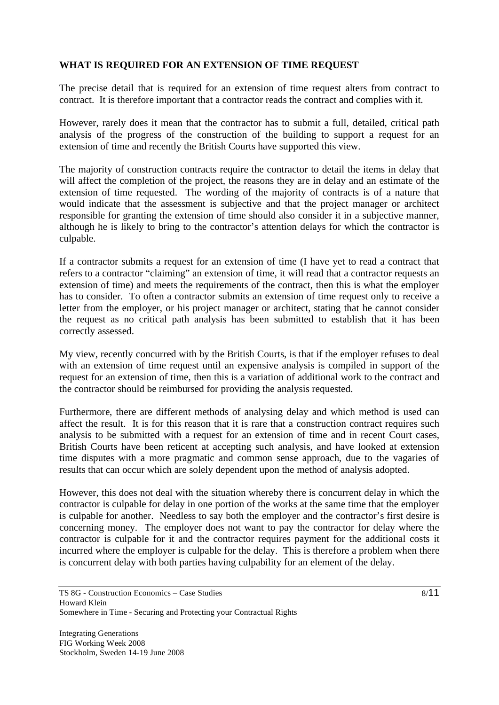## **WHAT IS REQUIRED FOR AN EXTENSION OF TIME REQUEST**

The precise detail that is required for an extension of time request alters from contract to contract. It is therefore important that a contractor reads the contract and complies with it.

However, rarely does it mean that the contractor has to submit a full, detailed, critical path analysis of the progress of the construction of the building to support a request for an extension of time and recently the British Courts have supported this view.

The majority of construction contracts require the contractor to detail the items in delay that will affect the completion of the project, the reasons they are in delay and an estimate of the extension of time requested. The wording of the majority of contracts is of a nature that would indicate that the assessment is subjective and that the project manager or architect responsible for granting the extension of time should also consider it in a subjective manner, although he is likely to bring to the contractor's attention delays for which the contractor is culpable.

If a contractor submits a request for an extension of time (I have yet to read a contract that refers to a contractor "claiming" an extension of time, it will read that a contractor requests an extension of time) and meets the requirements of the contract, then this is what the employer has to consider. To often a contractor submits an extension of time request only to receive a letter from the employer, or his project manager or architect, stating that he cannot consider the request as no critical path analysis has been submitted to establish that it has been correctly assessed.

My view, recently concurred with by the British Courts, is that if the employer refuses to deal with an extension of time request until an expensive analysis is compiled in support of the request for an extension of time, then this is a variation of additional work to the contract and the contractor should be reimbursed for providing the analysis requested.

Furthermore, there are different methods of analysing delay and which method is used can affect the result. It is for this reason that it is rare that a construction contract requires such analysis to be submitted with a request for an extension of time and in recent Court cases, British Courts have been reticent at accepting such analysis, and have looked at extension time disputes with a more pragmatic and common sense approach, due to the vagaries of results that can occur which are solely dependent upon the method of analysis adopted.

However, this does not deal with the situation whereby there is concurrent delay in which the contractor is culpable for delay in one portion of the works at the same time that the employer is culpable for another. Needless to say both the employer and the contractor's first desire is concerning money. The employer does not want to pay the contractor for delay where the contractor is culpable for it and the contractor requires payment for the additional costs it incurred where the employer is culpable for the delay. This is therefore a problem when there is concurrent delay with both parties having culpability for an element of the delay.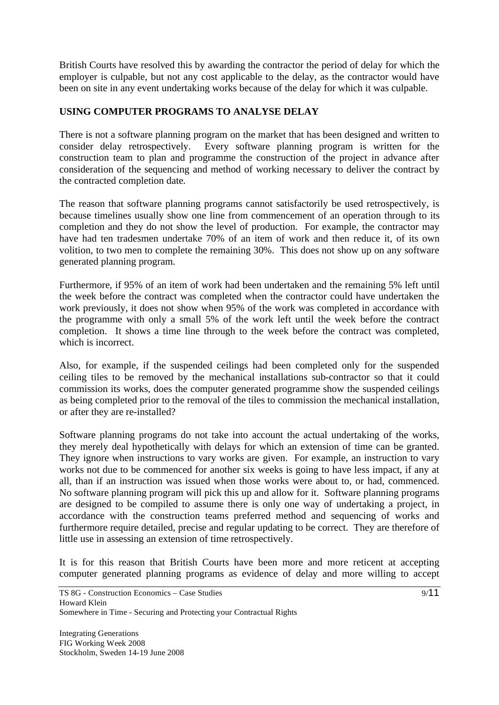British Courts have resolved this by awarding the contractor the period of delay for which the employer is culpable, but not any cost applicable to the delay, as the contractor would have been on site in any event undertaking works because of the delay for which it was culpable.

## **USING COMPUTER PROGRAMS TO ANALYSE DELAY**

There is not a software planning program on the market that has been designed and written to consider delay retrospectively. Every software planning program is written for the construction team to plan and programme the construction of the project in advance after consideration of the sequencing and method of working necessary to deliver the contract by the contracted completion date.

The reason that software planning programs cannot satisfactorily be used retrospectively, is because timelines usually show one line from commencement of an operation through to its completion and they do not show the level of production. For example, the contractor may have had ten tradesmen undertake 70% of an item of work and then reduce it, of its own volition, to two men to complete the remaining 30%. This does not show up on any software generated planning program.

Furthermore, if 95% of an item of work had been undertaken and the remaining 5% left until the week before the contract was completed when the contractor could have undertaken the work previously, it does not show when 95% of the work was completed in accordance with the programme with only a small 5% of the work left until the week before the contract completion. It shows a time line through to the week before the contract was completed, which is incorrect.

Also, for example, if the suspended ceilings had been completed only for the suspended ceiling tiles to be removed by the mechanical installations sub-contractor so that it could commission its works, does the computer generated programme show the suspended ceilings as being completed prior to the removal of the tiles to commission the mechanical installation, or after they are re-installed?

Software planning programs do not take into account the actual undertaking of the works, they merely deal hypothetically with delays for which an extension of time can be granted. They ignore when instructions to vary works are given. For example, an instruction to vary works not due to be commenced for another six weeks is going to have less impact, if any at all, than if an instruction was issued when those works were about to, or had, commenced. No software planning program will pick this up and allow for it. Software planning programs are designed to be compiled to assume there is only one way of undertaking a project, in accordance with the construction teams preferred method and sequencing of works and furthermore require detailed, precise and regular updating to be correct. They are therefore of little use in assessing an extension of time retrospectively.

It is for this reason that British Courts have been more and more reticent at accepting computer generated planning programs as evidence of delay and more willing to accept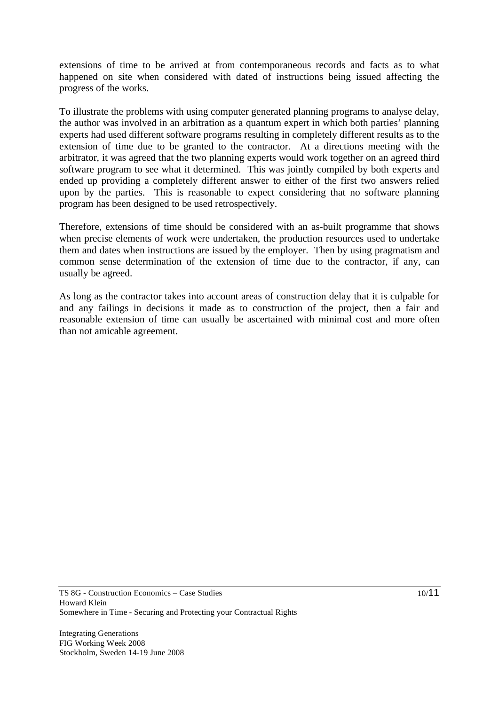extensions of time to be arrived at from contemporaneous records and facts as to what happened on site when considered with dated of instructions being issued affecting the progress of the works.

To illustrate the problems with using computer generated planning programs to analyse delay, the author was involved in an arbitration as a quantum expert in which both parties' planning experts had used different software programs resulting in completely different results as to the extension of time due to be granted to the contractor. At a directions meeting with the arbitrator, it was agreed that the two planning experts would work together on an agreed third software program to see what it determined. This was jointly compiled by both experts and ended up providing a completely different answer to either of the first two answers relied upon by the parties. This is reasonable to expect considering that no software planning program has been designed to be used retrospectively.

Therefore, extensions of time should be considered with an as-built programme that shows when precise elements of work were undertaken, the production resources used to undertake them and dates when instructions are issued by the employer. Then by using pragmatism and common sense determination of the extension of time due to the contractor, if any, can usually be agreed.

As long as the contractor takes into account areas of construction delay that it is culpable for and any failings in decisions it made as to construction of the project, then a fair and reasonable extension of time can usually be ascertained with minimal cost and more often than not amicable agreement.